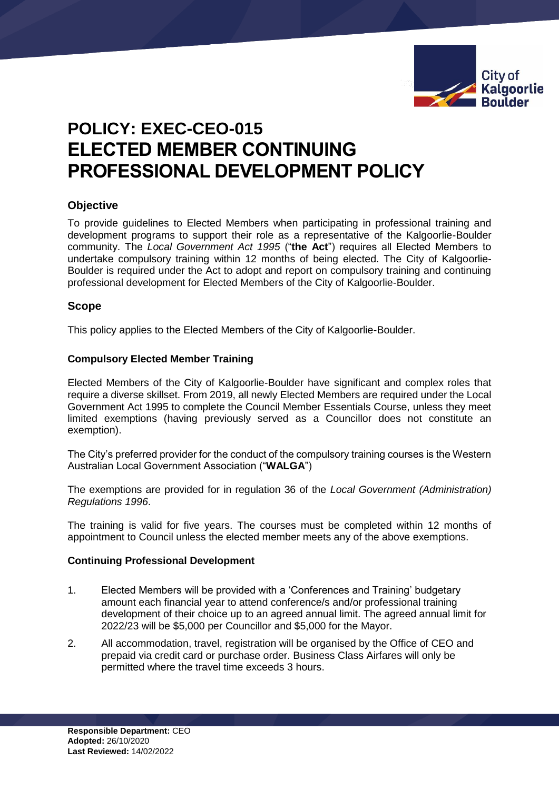

# **POLICY: EXEC-CEO-015 ELECTED MEMBER CONTINUING PROFESSIONAL DEVELOPMENT POLICY**

# **Objective**

To provide guidelines to Elected Members when participating in professional training and development programs to support their role as a representative of the Kalgoorlie-Boulder community. The *Local Government Act 1995* ("**the Act**") requires all Elected Members to undertake compulsory training within 12 months of being elected. The City of Kalgoorlie-Boulder is required under the Act to adopt and report on compulsory training and continuing professional development for Elected Members of the City of Kalgoorlie-Boulder.

# **Scope**

This policy applies to the Elected Members of the City of Kalgoorlie-Boulder.

### **Compulsory Elected Member Training**

Elected Members of the City of Kalgoorlie-Boulder have significant and complex roles that require a diverse skillset. From 2019, all newly Elected Members are required under the Local Government Act 1995 to complete the Council Member Essentials Course, unless they meet limited exemptions (having previously served as a Councillor does not constitute an exemption).

The City's preferred provider for the conduct of the compulsory training courses is the Western Australian Local Government Association ("**WALGA**")

The exemptions are provided for in regulation 36 of the *Local Government (Administration) Regulations 1996*.

The training is valid for five years. The courses must be completed within 12 months of appointment to Council unless the elected member meets any of the above exemptions.

### **Continuing Professional Development**

- 1. Elected Members will be provided with a 'Conferences and Training' budgetary amount each financial year to attend conference/s and/or professional training development of their choice up to an agreed annual limit. The agreed annual limit for 2022/23 will be \$5,000 per Councillor and \$5,000 for the Mayor.
- 2. All accommodation, travel, registration will be organised by the Office of CEO and prepaid via credit card or purchase order. Business Class Airfares will only be permitted where the travel time exceeds 3 hours.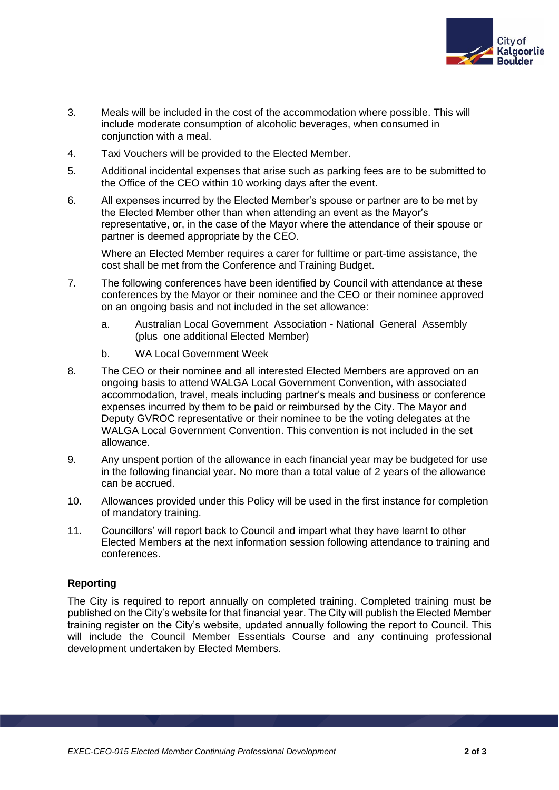

- 3. Meals will be included in the cost of the accommodation where possible. This will include moderate consumption of alcoholic beverages, when consumed in conjunction with a meal.
- 4. Taxi Vouchers will be provided to the Elected Member.
- 5. Additional incidental expenses that arise such as parking fees are to be submitted to the Office of the CEO within 10 working days after the event.
- 6. All expenses incurred by the Elected Member's spouse or partner are to be met by the Elected Member other than when attending an event as the Mayor's representative, or, in the case of the Mayor where the attendance of their spouse or partner is deemed appropriate by the CEO.

Where an Elected Member requires a carer for fulltime or part-time assistance, the cost shall be met from the Conference and Training Budget.

- 7. The following conferences have been identified by Council with attendance at these conferences by the Mayor or their nominee and the CEO or their nominee approved on an ongoing basis and not included in the set allowance:
	- a. Australian Local Government Association National General Assembly (plus one additional Elected Member)
	- b. WA Local Government Week
- 8. The CEO or their nominee and all interested Elected Members are approved on an ongoing basis to attend WALGA Local Government Convention, with associated accommodation, travel, meals including partner's meals and business or conference expenses incurred by them to be paid or reimbursed by the City. The Mayor and Deputy GVROC representative or their nominee to be the voting delegates at the WALGA Local Government Convention. This convention is not included in the set allowance.
- 9. Any unspent portion of the allowance in each financial year may be budgeted for use in the following financial year. No more than a total value of 2 years of the allowance can be accrued.
- 10. Allowances provided under this Policy will be used in the first instance for completion of mandatory training.
- 11. Councillors' will report back to Council and impart what they have learnt to other Elected Members at the next information session following attendance to training and conferences.

### **Reporting**

The City is required to report annually on completed training. Completed training must be published on the City's website for that financial year. The City will publish the Elected Member training register on the City's website, updated annually following the report to Council. This will include the Council Member Essentials Course and any continuing professional development undertaken by Elected Members.